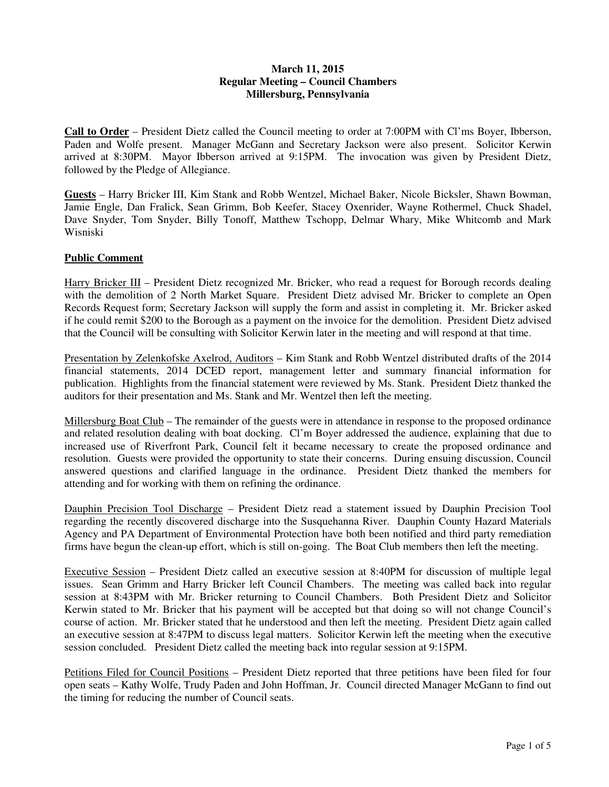# **March 11, 2015 Regular Meeting – Council Chambers Millersburg, Pennsylvania**

**Call to Order** – President Dietz called the Council meeting to order at 7:00PM with Cl'ms Boyer, Ibberson, Paden and Wolfe present. Manager McGann and Secretary Jackson were also present. Solicitor Kerwin arrived at 8:30PM. Mayor Ibberson arrived at 9:15PM. The invocation was given by President Dietz, followed by the Pledge of Allegiance.

**Guests** – Harry Bricker III, Kim Stank and Robb Wentzel, Michael Baker, Nicole Bicksler, Shawn Bowman, Jamie Engle, Dan Fralick, Sean Grimm, Bob Keefer, Stacey Oxenrider, Wayne Rothermel, Chuck Shadel, Dave Snyder, Tom Snyder, Billy Tonoff, Matthew Tschopp, Delmar Whary, Mike Whitcomb and Mark Wisniski

# **Public Comment**

Harry Bricker III – President Dietz recognized Mr. Bricker, who read a request for Borough records dealing with the demolition of 2 North Market Square. President Dietz advised Mr. Bricker to complete an Open Records Request form; Secretary Jackson will supply the form and assist in completing it. Mr. Bricker asked if he could remit \$200 to the Borough as a payment on the invoice for the demolition. President Dietz advised that the Council will be consulting with Solicitor Kerwin later in the meeting and will respond at that time.

Presentation by Zelenkofske Axelrod, Auditors - Kim Stank and Robb Wentzel distributed drafts of the 2014 financial statements, 2014 DCED report, management letter and summary financial information for publication. Highlights from the financial statement were reviewed by Ms. Stank. President Dietz thanked the auditors for their presentation and Ms. Stank and Mr. Wentzel then left the meeting.

Millersburg Boat Club – The remainder of the guests were in attendance in response to the proposed ordinance and related resolution dealing with boat docking. Cl'm Boyer addressed the audience, explaining that due to increased use of Riverfront Park, Council felt it became necessary to create the proposed ordinance and resolution. Guests were provided the opportunity to state their concerns. During ensuing discussion, Council answered questions and clarified language in the ordinance. President Dietz thanked the members for attending and for working with them on refining the ordinance.

Dauphin Precision Tool Discharge – President Dietz read a statement issued by Dauphin Precision Tool regarding the recently discovered discharge into the Susquehanna River. Dauphin County Hazard Materials Agency and PA Department of Environmental Protection have both been notified and third party remediation firms have begun the clean-up effort, which is still on-going. The Boat Club members then left the meeting.

Executive Session – President Dietz called an executive session at 8:40PM for discussion of multiple legal issues. Sean Grimm and Harry Bricker left Council Chambers. The meeting was called back into regular session at 8:43PM with Mr. Bricker returning to Council Chambers. Both President Dietz and Solicitor Kerwin stated to Mr. Bricker that his payment will be accepted but that doing so will not change Council's course of action. Mr. Bricker stated that he understood and then left the meeting. President Dietz again called an executive session at 8:47PM to discuss legal matters. Solicitor Kerwin left the meeting when the executive session concluded. President Dietz called the meeting back into regular session at 9:15PM.

Petitions Filed for Council Positions – President Dietz reported that three petitions have been filed for four open seats – Kathy Wolfe, Trudy Paden and John Hoffman, Jr. Council directed Manager McGann to find out the timing for reducing the number of Council seats.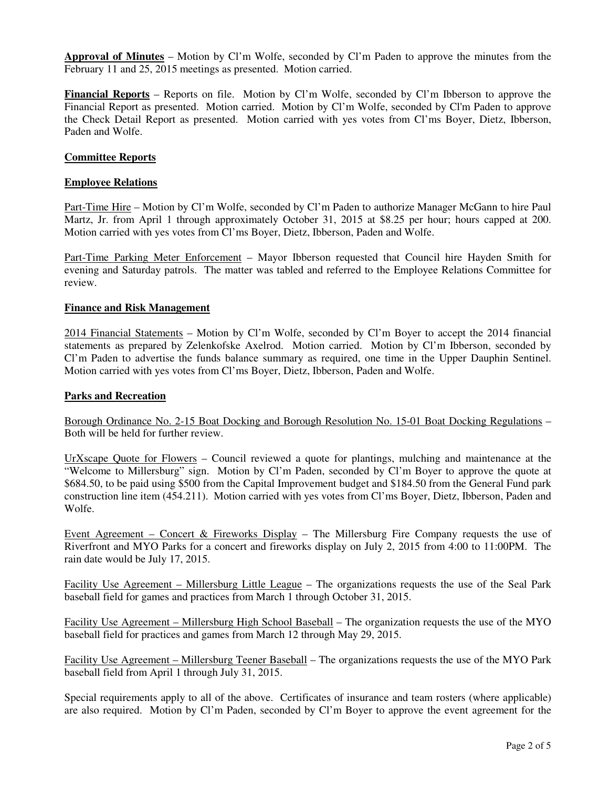**Approval of Minutes** – Motion by Cl'm Wolfe, seconded by Cl'm Paden to approve the minutes from the February 11 and 25, 2015 meetings as presented. Motion carried.

**Financial Reports** – Reports on file. Motion by Cl'm Wolfe, seconded by Cl'm Ibberson to approve the Financial Report as presented. Motion carried. Motion by Cl'm Wolfe, seconded by Cl'm Paden to approve the Check Detail Report as presented. Motion carried with yes votes from Cl'ms Boyer, Dietz, Ibberson, Paden and Wolfe.

# **Committee Reports**

### **Employee Relations**

Part-Time Hire – Motion by Cl'm Wolfe, seconded by Cl'm Paden to authorize Manager McGann to hire Paul Martz, Jr. from April 1 through approximately October 31, 2015 at \$8.25 per hour; hours capped at 200. Motion carried with yes votes from Cl'ms Boyer, Dietz, Ibberson, Paden and Wolfe.

Part-Time Parking Meter Enforcement – Mayor Ibberson requested that Council hire Hayden Smith for evening and Saturday patrols. The matter was tabled and referred to the Employee Relations Committee for review.

### **Finance and Risk Management**

2014 Financial Statements – Motion by Cl'm Wolfe, seconded by Cl'm Boyer to accept the 2014 financial statements as prepared by Zelenkofske Axelrod. Motion carried. Motion by Cl'm Ibberson, seconded by Cl'm Paden to advertise the funds balance summary as required, one time in the Upper Dauphin Sentinel. Motion carried with yes votes from Cl'ms Boyer, Dietz, Ibberson, Paden and Wolfe.

### **Parks and Recreation**

Borough Ordinance No. 2-15 Boat Docking and Borough Resolution No. 15-01 Boat Docking Regulations – Both will be held for further review.

UrXscape Quote for Flowers – Council reviewed a quote for plantings, mulching and maintenance at the "Welcome to Millersburg" sign. Motion by Cl'm Paden, seconded by Cl'm Boyer to approve the quote at \$684.50, to be paid using \$500 from the Capital Improvement budget and \$184.50 from the General Fund park construction line item (454.211). Motion carried with yes votes from Cl'ms Boyer, Dietz, Ibberson, Paden and Wolfe.

Event Agreement – Concert & Fireworks Display – The Millersburg Fire Company requests the use of Riverfront and MYO Parks for a concert and fireworks display on July 2, 2015 from 4:00 to 11:00PM. The rain date would be July 17, 2015.

Facility Use Agreement – Millersburg Little League – The organizations requests the use of the Seal Park baseball field for games and practices from March 1 through October 31, 2015.

Facility Use Agreement – Millersburg High School Baseball – The organization requests the use of the MYO baseball field for practices and games from March 12 through May 29, 2015.

Facility Use Agreement – Millersburg Teener Baseball – The organizations requests the use of the MYO Park baseball field from April 1 through July 31, 2015.

Special requirements apply to all of the above. Certificates of insurance and team rosters (where applicable) are also required. Motion by Cl'm Paden, seconded by Cl'm Boyer to approve the event agreement for the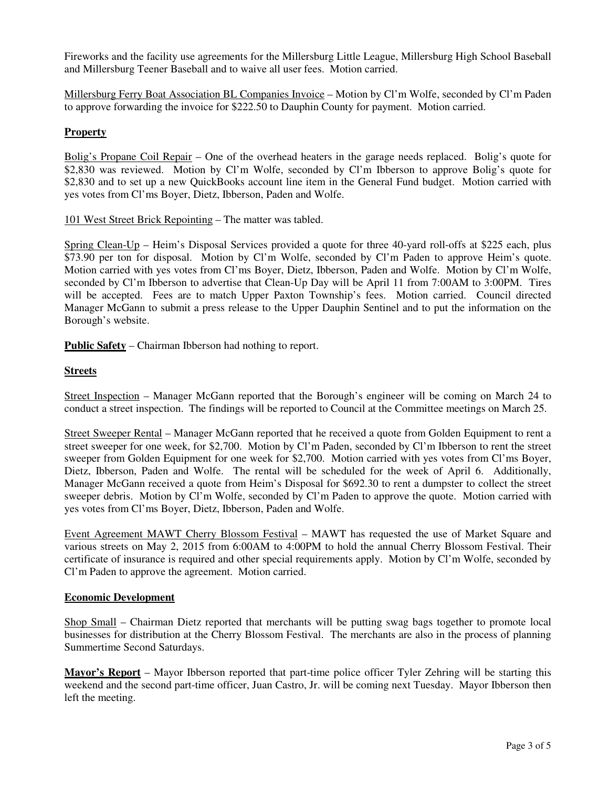Fireworks and the facility use agreements for the Millersburg Little League, Millersburg High School Baseball and Millersburg Teener Baseball and to waive all user fees. Motion carried.

Millersburg Ferry Boat Association BL Companies Invoice – Motion by Cl'm Wolfe, seconded by Cl'm Paden to approve forwarding the invoice for \$222.50 to Dauphin County for payment. Motion carried.

# **Property**

Bolig's Propane Coil Repair – One of the overhead heaters in the garage needs replaced. Bolig's quote for \$2,830 was reviewed. Motion by Cl'm Wolfe, seconded by Cl'm Ibberson to approve Bolig's quote for \$2,830 and to set up a new QuickBooks account line item in the General Fund budget. Motion carried with yes votes from Cl'ms Boyer, Dietz, Ibberson, Paden and Wolfe.

101 West Street Brick Repointing – The matter was tabled.

Spring Clean-Up – Heim's Disposal Services provided a quote for three 40-yard roll-offs at \$225 each, plus \$73.90 per ton for disposal. Motion by Cl'm Wolfe, seconded by Cl'm Paden to approve Heim's quote. Motion carried with yes votes from Cl'ms Boyer, Dietz, Ibberson, Paden and Wolfe. Motion by Cl'm Wolfe, seconded by Cl'm Ibberson to advertise that Clean-Up Day will be April 11 from 7:00AM to 3:00PM. Tires will be accepted. Fees are to match Upper Paxton Township's fees. Motion carried. Council directed Manager McGann to submit a press release to the Upper Dauphin Sentinel and to put the information on the Borough's website.

**Public Safety** – Chairman Ibberson had nothing to report.

### **Streets**

Street Inspection – Manager McGann reported that the Borough's engineer will be coming on March 24 to conduct a street inspection. The findings will be reported to Council at the Committee meetings on March 25.

Street Sweeper Rental – Manager McGann reported that he received a quote from Golden Equipment to rent a street sweeper for one week, for \$2,700. Motion by Cl'm Paden, seconded by Cl'm Ibberson to rent the street sweeper from Golden Equipment for one week for \$2,700. Motion carried with yes votes from Cl'ms Boyer, Dietz, Ibberson, Paden and Wolfe. The rental will be scheduled for the week of April 6. Additionally, Manager McGann received a quote from Heim's Disposal for \$692.30 to rent a dumpster to collect the street sweeper debris. Motion by Cl'm Wolfe, seconded by Cl'm Paden to approve the quote. Motion carried with yes votes from Cl'ms Boyer, Dietz, Ibberson, Paden and Wolfe.

Event Agreement MAWT Cherry Blossom Festival – MAWT has requested the use of Market Square and various streets on May 2, 2015 from 6:00AM to 4:00PM to hold the annual Cherry Blossom Festival. Their certificate of insurance is required and other special requirements apply. Motion by Cl'm Wolfe, seconded by Cl'm Paden to approve the agreement. Motion carried.

#### **Economic Development**

Shop Small – Chairman Dietz reported that merchants will be putting swag bags together to promote local businesses for distribution at the Cherry Blossom Festival. The merchants are also in the process of planning Summertime Second Saturdays.

**Mayor's Report** – Mayor Ibberson reported that part-time police officer Tyler Zehring will be starting this weekend and the second part-time officer, Juan Castro, Jr. will be coming next Tuesday. Mayor Ibberson then left the meeting.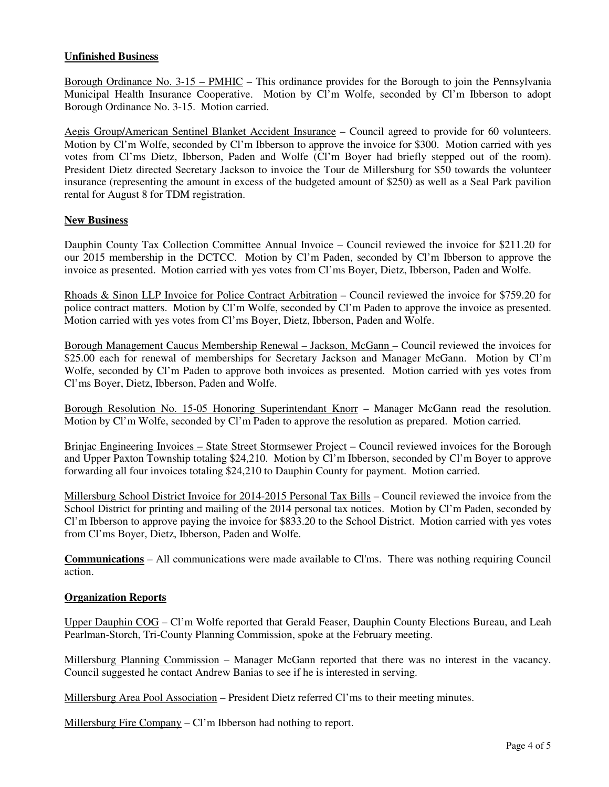# **Unfinished Business**

Borough Ordinance No. 3-15 – PMHIC – This ordinance provides for the Borough to join the Pennsylvania Municipal Health Insurance Cooperative. Motion by Cl'm Wolfe, seconded by Cl'm Ibberson to adopt Borough Ordinance No. 3-15. Motion carried.

Aegis Group/American Sentinel Blanket Accident Insurance – Council agreed to provide for 60 volunteers. Motion by Cl'm Wolfe, seconded by Cl'm Ibberson to approve the invoice for \$300. Motion carried with yes votes from Cl'ms Dietz, Ibberson, Paden and Wolfe (Cl'm Boyer had briefly stepped out of the room). President Dietz directed Secretary Jackson to invoice the Tour de Millersburg for \$50 towards the volunteer insurance (representing the amount in excess of the budgeted amount of \$250) as well as a Seal Park pavilion rental for August 8 for TDM registration.

### **New Business**

Dauphin County Tax Collection Committee Annual Invoice – Council reviewed the invoice for \$211.20 for our 2015 membership in the DCTCC. Motion by Cl'm Paden, seconded by Cl'm Ibberson to approve the invoice as presented. Motion carried with yes votes from Cl'ms Boyer, Dietz, Ibberson, Paden and Wolfe.

Rhoads & Sinon LLP Invoice for Police Contract Arbitration – Council reviewed the invoice for \$759.20 for police contract matters. Motion by Cl'm Wolfe, seconded by Cl'm Paden to approve the invoice as presented. Motion carried with yes votes from Cl'ms Boyer, Dietz, Ibberson, Paden and Wolfe.

Borough Management Caucus Membership Renewal – Jackson, McGann – Council reviewed the invoices for \$25.00 each for renewal of memberships for Secretary Jackson and Manager McGann. Motion by Cl'm Wolfe, seconded by Cl'm Paden to approve both invoices as presented. Motion carried with yes votes from Cl'ms Boyer, Dietz, Ibberson, Paden and Wolfe.

Borough Resolution No. 15-05 Honoring Superintendant Knorr – Manager McGann read the resolution. Motion by Cl'm Wolfe, seconded by Cl'm Paden to approve the resolution as prepared. Motion carried.

Brinjac Engineering Invoices – State Street Stormsewer Project – Council reviewed invoices for the Borough and Upper Paxton Township totaling \$24,210. Motion by Cl'm Ibberson, seconded by Cl'm Boyer to approve forwarding all four invoices totaling \$24,210 to Dauphin County for payment. Motion carried.

Millersburg School District Invoice for 2014-2015 Personal Tax Bills – Council reviewed the invoice from the School District for printing and mailing of the 2014 personal tax notices. Motion by Cl'm Paden, seconded by Cl'm Ibberson to approve paying the invoice for \$833.20 to the School District. Motion carried with yes votes from Cl'ms Boyer, Dietz, Ibberson, Paden and Wolfe.

**Communications** – All communications were made available to Cl'ms. There was nothing requiring Council action.

#### **Organization Reports**

Upper Dauphin COG – Cl'm Wolfe reported that Gerald Feaser, Dauphin County Elections Bureau, and Leah Pearlman-Storch, Tri-County Planning Commission, spoke at the February meeting.

Millersburg Planning Commission – Manager McGann reported that there was no interest in the vacancy. Council suggested he contact Andrew Banias to see if he is interested in serving.

Millersburg Area Pool Association – President Dietz referred Cl'ms to their meeting minutes.

Millersburg Fire Company – Cl'm Ibberson had nothing to report.